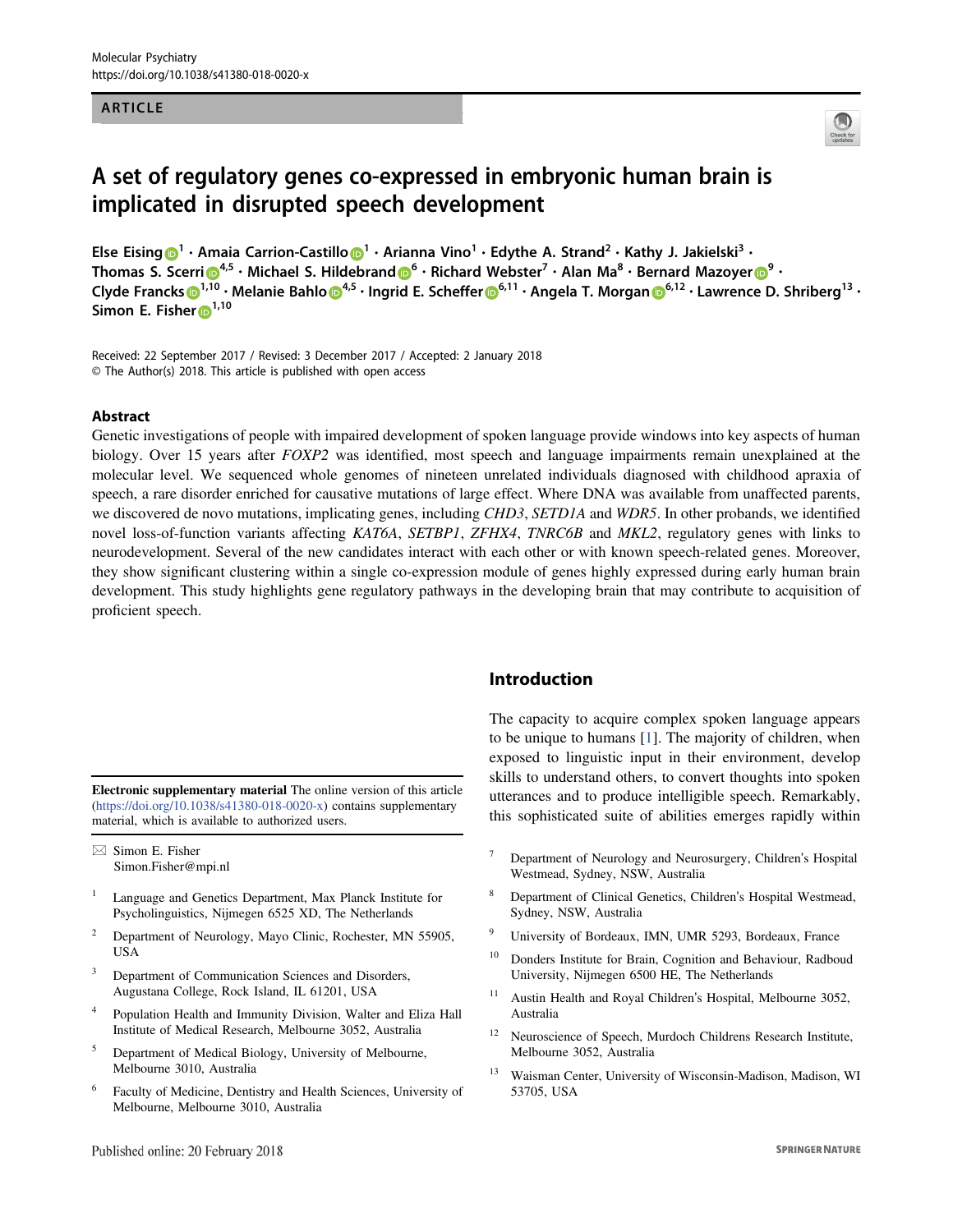## ARTICLE



# A set of regulatory genes co-expressed in embryonic human brain is implicated in disrupted speech development

Else Eising  $\bigcirc^1 \cdot$  Amaia Carrion-Castillo  $\bigcirc^1 \cdot$  Arianna Vino $^1 \cdot$  Edythe A. Strand $^2 \cdot$  Kathy J. Jakielski $^3 \cdot$ Thomas S. Scerri $\mathbf{\Theta}^{4,5}\cdot$  Michael S. Hildebrand $\mathbf{\Theta}^6\cdot$  Richard Webster $^7\cdot$  Alan Ma $^8\cdot$  Bernard Mazoyer $\mathbf{\Theta}^9\cdot$ Clyde Francks $\bm{\odot}^{1,10}\cdot$  Melanie Bahlo $\bm{\odot}^{4,5}\cdot$  Ingrid E. Scheffer $\bm{\odot}^{6,11}\cdot$  Angela T. Morgan $\bm{\odot}^{6,12}\cdot$  Lawrence D. Shriberg $^{13}\cdot$ Simon E. Fisher <sup>1,10</sup>

Received: 22 September 2017 / Revised: 3 December 2017 / Accepted: 2 January 2018 © The Author(s) 2018. This article is published with open access

#### **Abstract**

Genetic investigations of people with impaired development of spoken language provide windows into key aspects of human biology. Over 15 years after FOXP2 was identified, most speech and language impairments remain unexplained at the molecular level. We sequenced whole genomes of nineteen unrelated individuals diagnosed with childhood apraxia of speech, a rare disorder enriched for causative mutations of large effect. Where DNA was available from unaffected parents, we discovered de novo mutations, implicating genes, including CHD3, SETD1A and WDR5. In other probands, we identified novel loss-of-function variants affecting KAT6A, SETBP1, ZFHX4, TNRC6B and MKL2, regulatory genes with links to neurodevelopment. Several of the new candidates interact with each other or with known speech-related genes. Moreover, they show significant clustering within a single co-expression module of genes highly expressed during early human brain development. This study highlights gene regulatory pathways in the developing brain that may contribute to acquisition of proficient speech.

Electronic supplementary material The online version of this article (https://doi.org/10.1038/s41380-018-0020-x) contains supplementary material, which is available to authorized users.

 $\boxtimes$  Simon E. Fisher Simon.Fisher@mpi.nl

- <sup>1</sup> Language and Genetics Department, Max Planck Institute for Psycholinguistics, Nijmegen 6525 XD, The Netherlands
- <sup>2</sup> Department of Neurology, Mayo Clinic, Rochester, MN 55905, USA
- <sup>3</sup> Department of Communication Sciences and Disorders, Augustana College, Rock Island, IL 61201, USA
- <sup>4</sup> Population Health and Immunity Division, Walter and Eliza Hall Institute of Medical Research, Melbourne 3052, Australia
- <sup>5</sup> Department of Medical Biology, University of Melbourne, Melbourne 3010, Australia
- <sup>6</sup> Faculty of Medicine, Dentistry and Health Sciences, University of Melbourne, Melbourne 3010, Australia

# Introduction

The capacity to acquire complex spoken language appears to be unique to humans [1]. The majority of children, when exposed to linguistic input in their environment, develop skills to understand others, to convert thoughts into spoken utterances and to produce intelligible speech. Remarkably, this sophisticated suite of abilities emerges rapidly within

- <sup>7</sup> Department of Neurology and Neurosurgery, Children's Hospital Westmead, Sydney, NSW, Australia
- <sup>8</sup> Department of Clinical Genetics, Children's Hospital Westmead, Sydney, NSW, Australia
- <sup>9</sup> University of Bordeaux, IMN, UMR 5293, Bordeaux, France
- <sup>10</sup> Donders Institute for Brain, Cognition and Behaviour, Radboud University, Nijmegen 6500 HE, The Netherlands
- <sup>11</sup> Austin Health and Royal Children's Hospital, Melbourne 3052, Australia
- <sup>12</sup> Neuroscience of Speech, Murdoch Childrens Research Institute, Melbourne 3052, Australia
- <sup>13</sup> Waisman Center, University of Wisconsin-Madison, Madison, WI 53705, USA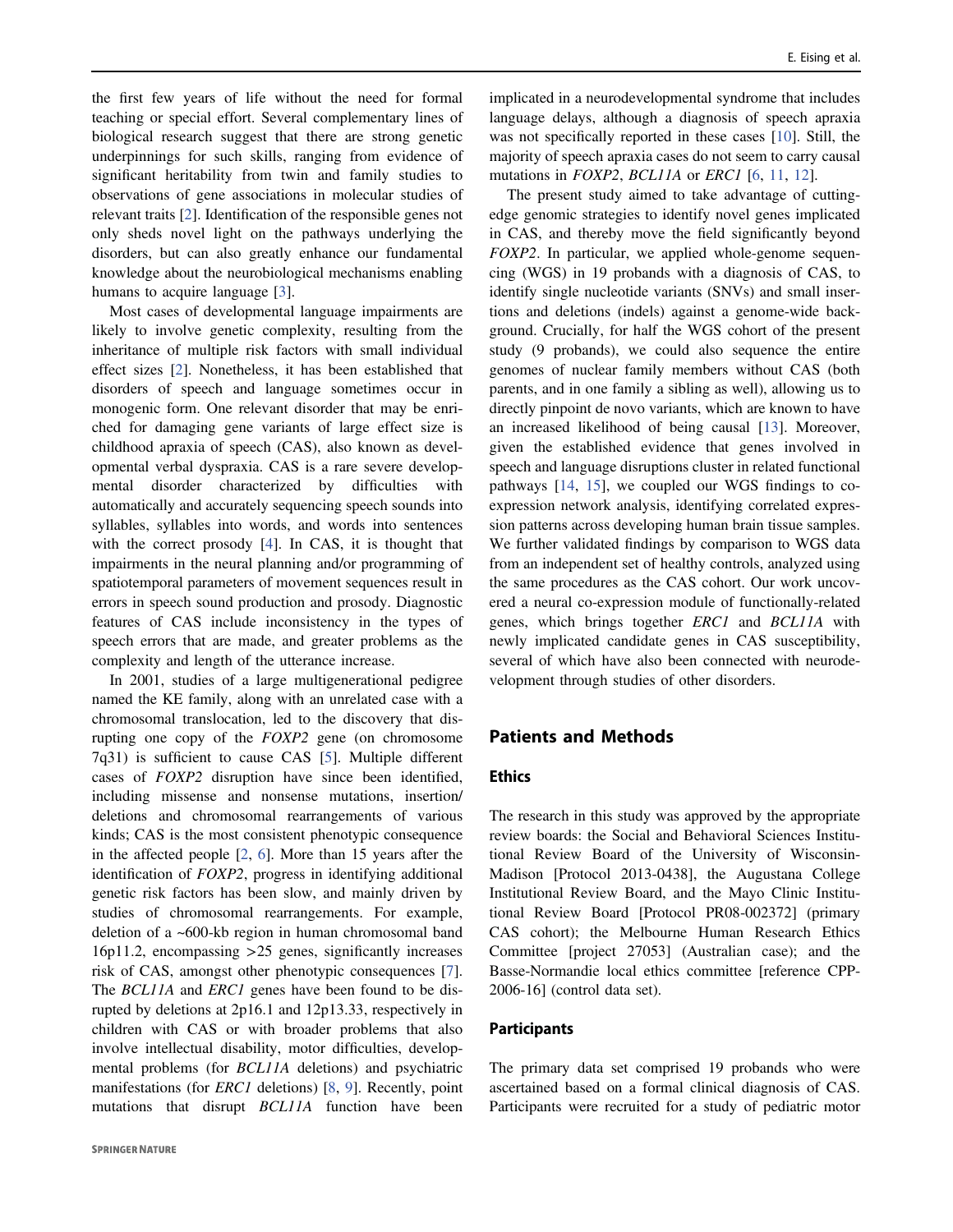the first few years of life without the need for formal teaching or special effort. Several complementary lines of biological research suggest that there are strong genetic underpinnings for such skills, ranging from evidence of significant heritability from twin and family studies to observations of gene associations in molecular studies of relevant traits [2]. Identification of the responsible genes not only sheds novel light on the pathways underlying the disorders, but can also greatly enhance our fundamental knowledge about the neurobiological mechanisms enabling humans to acquire language [3].

Most cases of developmental language impairments are likely to involve genetic complexity, resulting from the inheritance of multiple risk factors with small individual effect sizes [2]. Nonetheless, it has been established that disorders of speech and language sometimes occur in monogenic form. One relevant disorder that may be enriched for damaging gene variants of large effect size is childhood apraxia of speech (CAS), also known as developmental verbal dyspraxia. CAS is a rare severe developmental disorder characterized by difficulties with automatically and accurately sequencing speech sounds into syllables, syllables into words, and words into sentences with the correct prosody [4]. In CAS, it is thought that impairments in the neural planning and/or programming of spatiotemporal parameters of movement sequences result in errors in speech sound production and prosody. Diagnostic features of CAS include inconsistency in the types of speech errors that are made, and greater problems as the complexity and length of the utterance increase.

In 2001, studies of a large multigenerational pedigree named the KE family, along with an unrelated case with a chromosomal translocation, led to the discovery that disrupting one copy of the FOXP2 gene (on chromosome 7q31) is sufficient to cause CAS [5]. Multiple different cases of FOXP2 disruption have since been identified, including missense and nonsense mutations, insertion/ deletions and chromosomal rearrangements of various kinds; CAS is the most consistent phenotypic consequence in the affected people [2, 6]. More than 15 years after the identification of FOXP2, progress in identifying additional genetic risk factors has been slow, and mainly driven by studies of chromosomal rearrangements. For example, deletion of a ~600-kb region in human chromosomal band 16p11.2, encompassing >25 genes, significantly increases risk of CAS, amongst other phenotypic consequences [7]. The BCL11A and ERC1 genes have been found to be disrupted by deletions at 2p16.1 and 12p13.33, respectively in children with CAS or with broader problems that also involve intellectual disability, motor difficulties, developmental problems (for BCL11A deletions) and psychiatric manifestations (for *ERC1* deletions) [8, 9]. Recently, point mutations that disrupt BCL11A function have been

implicated in a neurodevelopmental syndrome that includes language delays, although a diagnosis of speech apraxia was not specifically reported in these cases [10]. Still, the majority of speech apraxia cases do not seem to carry causal mutations in *FOXP2*, *BCL11A* or *ERC1* [6, 11, 12].

The present study aimed to take advantage of cuttingedge genomic strategies to identify novel genes implicated in CAS, and thereby move the field significantly beyond FOXP2. In particular, we applied whole-genome sequencing (WGS) in 19 probands with a diagnosis of CAS, to identify single nucleotide variants (SNVs) and small insertions and deletions (indels) against a genome-wide background. Crucially, for half the WGS cohort of the present study (9 probands), we could also sequence the entire genomes of nuclear family members without CAS (both parents, and in one family a sibling as well), allowing us to directly pinpoint de novo variants, which are known to have an increased likelihood of being causal [13]. Moreover, given the established evidence that genes involved in speech and language disruptions cluster in related functional pathways [14, 15], we coupled our WGS findings to coexpression network analysis, identifying correlated expression patterns across developing human brain tissue samples. We further validated findings by comparison to WGS data from an independent set of healthy controls, analyzed using the same procedures as the CAS cohort. Our work uncovered a neural co-expression module of functionally-related genes, which brings together ERC1 and BCL11A with newly implicated candidate genes in CAS susceptibility, several of which have also been connected with neurodevelopment through studies of other disorders.

# Patients and Methods

## **Ethics**

The research in this study was approved by the appropriate review boards: the Social and Behavioral Sciences Institutional Review Board of the University of Wisconsin-Madison [Protocol 2013-0438], the Augustana College Institutional Review Board, and the Mayo Clinic Institutional Review Board [Protocol PR08-002372] (primary CAS cohort); the Melbourne Human Research Ethics Committee [project 27053] (Australian case); and the Basse-Normandie local ethics committee [reference CPP-2006-16] (control data set).

#### Participants

The primary data set comprised 19 probands who were ascertained based on a formal clinical diagnosis of CAS. Participants were recruited for a study of pediatric motor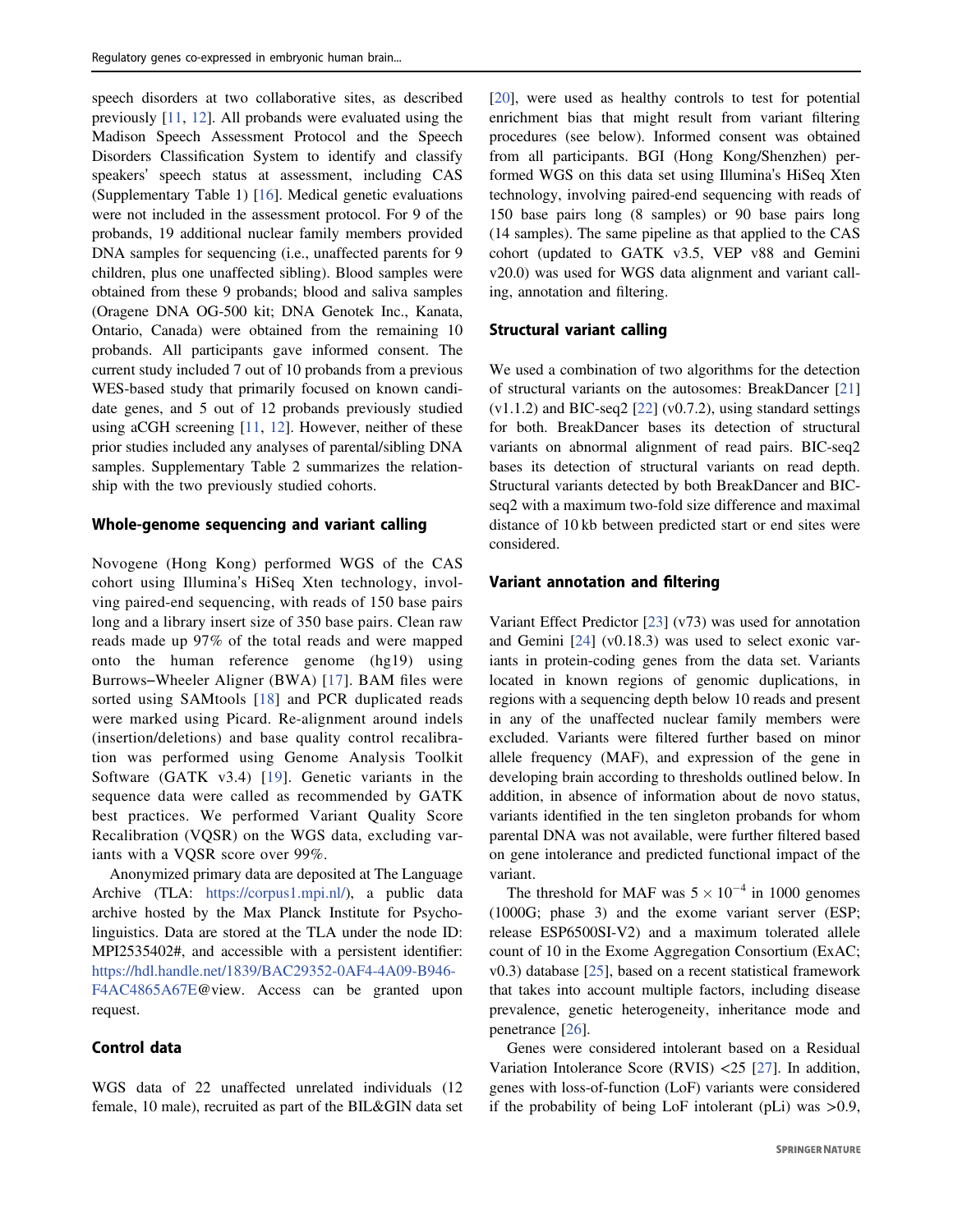speech disorders at two collaborative sites, as described previously [11, 12]. All probands were evaluated using the Madison Speech Assessment Protocol and the Speech Disorders Classification System to identify and classify speakers' speech status at assessment, including CAS (Supplementary Table 1) [16]. Medical genetic evaluations were not included in the assessment protocol. For 9 of the probands, 19 additional nuclear family members provided DNA samples for sequencing (i.e., unaffected parents for 9 children, plus one unaffected sibling). Blood samples were obtained from these 9 probands; blood and saliva samples (Oragene DNA OG-500 kit; DNA Genotek Inc., Kanata, Ontario, Canada) were obtained from the remaining 10 probands. All participants gave informed consent. The current study included 7 out of 10 probands from a previous WES-based study that primarily focused on known candidate genes, and 5 out of 12 probands previously studied using aCGH screening [11, 12]. However, neither of these prior studies included any analyses of parental/sibling DNA samples. Supplementary Table 2 summarizes the relationship with the two previously studied cohorts.

#### Whole-genome sequencing and variant calling

Novogene (Hong Kong) performed WGS of the CAS cohort using Illumina's HiSeq Xten technology, involving paired-end sequencing, with reads of 150 base pairs long and a library insert size of 350 base pairs. Clean raw reads made up 97% of the total reads and were mapped onto the human reference genome (hg19) using Burrows–Wheeler Aligner (BWA) [17]. BAM files were sorted using SAMtools [18] and PCR duplicated reads were marked using Picard. Re-alignment around indels (insertion/deletions) and base quality control recalibration was performed using Genome Analysis Toolkit Software (GATK v3.4) [19]. Genetic variants in the sequence data were called as recommended by GATK best practices. We performed Variant Quality Score Recalibration (VQSR) on the WGS data, excluding variants with a VQSR score over 99%.

Anonymized primary data are deposited at The Language Archive (TLA: https://corpus1.mpi.nl/), a public data archive hosted by the Max Planck Institute for Psycholinguistics. Data are stored at the TLA under the node ID: MPI2535402#, and accessible with a persistent identifier: https://hdl.handle.net/1839/BAC29352-0AF4-4A09-B946- F4AC4865A67E@view. Access can be granted upon request.

## Control data

WGS data of 22 unaffected unrelated individuals (12 female, 10 male), recruited as part of the BIL&GIN data set [20], were used as healthy controls to test for potential enrichment bias that might result from variant filtering procedures (see below). Informed consent was obtained from all participants. BGI (Hong Kong/Shenzhen) performed WGS on this data set using Illumina's HiSeq Xten technology, involving paired-end sequencing with reads of 150 base pairs long (8 samples) or 90 base pairs long (14 samples). The same pipeline as that applied to the CAS cohort (updated to GATK v3.5, VEP v88 and Gemini v20.0) was used for WGS data alignment and variant calling, annotation and filtering.

#### Structural variant calling

We used a combination of two algorithms for the detection of structural variants on the autosomes: BreakDancer [21]  $(v1.1.2)$  and BIC-seq2 [22]  $(v0.7.2)$ , using standard settings for both. BreakDancer bases its detection of structural variants on abnormal alignment of read pairs. BIC-seq2 bases its detection of structural variants on read depth. Structural variants detected by both BreakDancer and BICseq2 with a maximum two-fold size difference and maximal distance of 10 kb between predicted start or end sites were considered.

#### Variant annotation and filtering

Variant Effect Predictor [23] (v73) was used for annotation and Gemini [24] (v0.18.3) was used to select exonic variants in protein-coding genes from the data set. Variants located in known regions of genomic duplications, in regions with a sequencing depth below 10 reads and present in any of the unaffected nuclear family members were excluded. Variants were filtered further based on minor allele frequency (MAF), and expression of the gene in developing brain according to thresholds outlined below. In addition, in absence of information about de novo status, variants identified in the ten singleton probands for whom parental DNA was not available, were further filtered based on gene intolerance and predicted functional impact of the variant.

The threshold for MAF was  $5 \times 10^{-4}$  in 1000 genomes (1000G; phase 3) and the exome variant server (ESP; release ESP6500SI-V2) and a maximum tolerated allele count of 10 in the Exome Aggregation Consortium (ExAC; v0.3) database [25], based on a recent statistical framework that takes into account multiple factors, including disease prevalence, genetic heterogeneity, inheritance mode and penetrance [26].

Genes were considered intolerant based on a Residual Variation Intolerance Score (RVIS) <25 [27]. In addition, genes with loss-of-function (LoF) variants were considered if the probability of being LoF intolerant (pLi) was >0.9,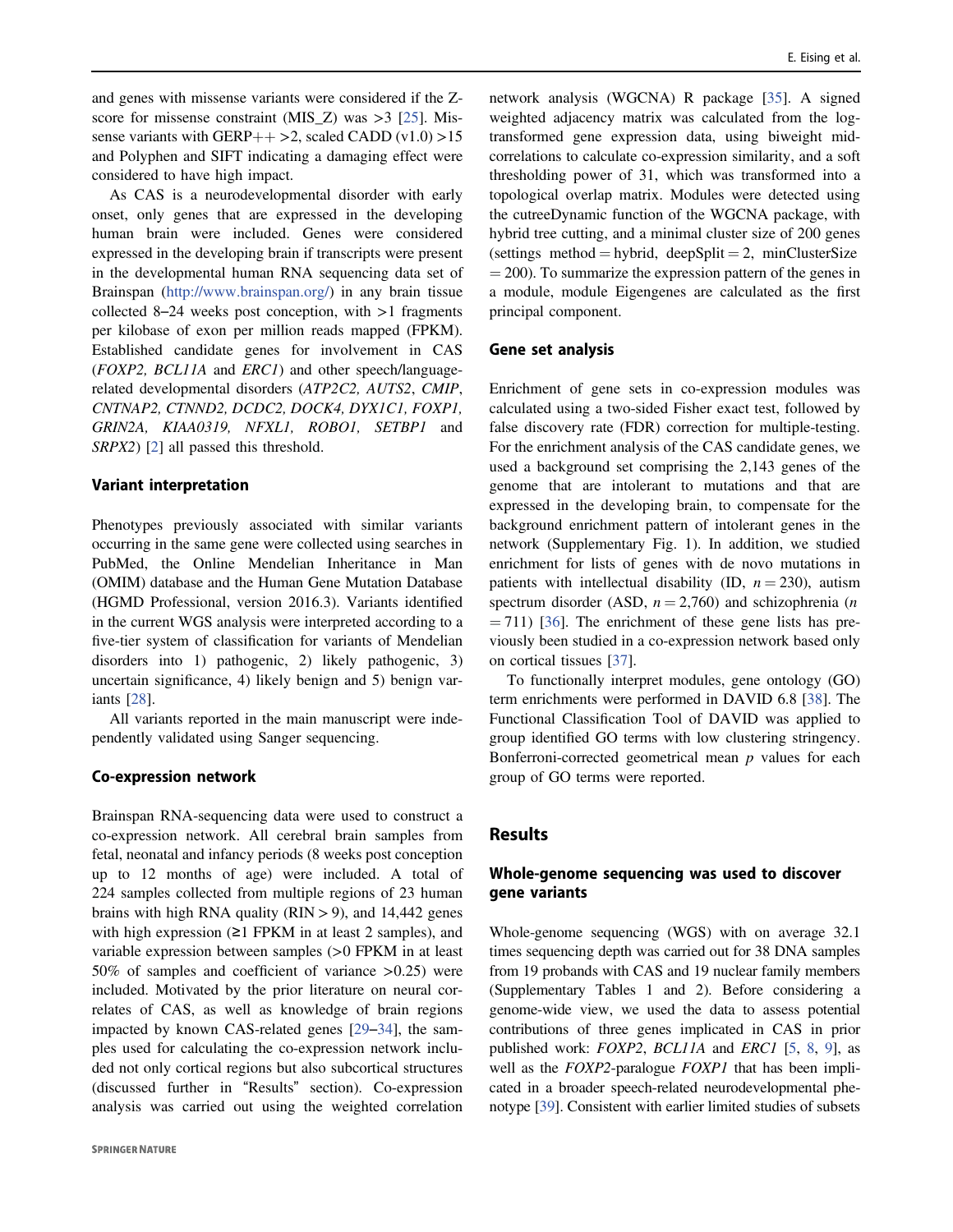and genes with missense variants were considered if the Zscore for missense constraint (MIS\_Z) was >3 [25]. Missense variants with GERP++ > 2, scaled CADD  $(v1.0) > 15$ and Polyphen and SIFT indicating a damaging effect were considered to have high impact.

As CAS is a neurodevelopmental disorder with early onset, only genes that are expressed in the developing human brain were included. Genes were considered expressed in the developing brain if transcripts were present in the developmental human RNA sequencing data set of Brainspan (http://www.brainspan.org/) in any brain tissue collected 8–24 weeks post conception, with  $>1$  fragments per kilobase of exon per million reads mapped (FPKM). Established candidate genes for involvement in CAS (FOXP2, BCL11A and ERC1) and other speech/languagerelated developmental disorders (ATP2C2, AUTS2, CMIP, CNTNAP2, CTNND2, DCDC2, DOCK4, DYX1C1, FOXP1, GRIN2A, KIAA0319, NFXL1, ROBO1, SETBP1 and SRPX2) [2] all passed this threshold.

### Variant interpretation

Phenotypes previously associated with similar variants occurring in the same gene were collected using searches in PubMed, the Online Mendelian Inheritance in Man (OMIM) database and the Human Gene Mutation Database (HGMD Professional, version 2016.3). Variants identified in the current WGS analysis were interpreted according to a five-tier system of classification for variants of Mendelian disorders into 1) pathogenic, 2) likely pathogenic, 3) uncertain significance, 4) likely benign and 5) benign variants [28].

All variants reported in the main manuscript were independently validated using Sanger sequencing.

#### Co-expression network

Brainspan RNA-sequencing data were used to construct a co-expression network. All cerebral brain samples from fetal, neonatal and infancy periods (8 weeks post conception up to 12 months of age) were included. A total of 224 samples collected from multiple regions of 23 human brains with high RNA quality  $(RIN > 9)$ , and 14,442 genes with high expression (≥1 FPKM in at least 2 samples), and variable expression between samples (>0 FPKM in at least 50% of samples and coefficient of variance >0.25) were included. Motivated by the prior literature on neural correlates of CAS, as well as knowledge of brain regions impacted by known CAS-related genes [29–34], the samples used for calculating the co-expression network included not only cortical regions but also subcortical structures (discussed further in "Results" section). Co-expression analysis was carried out using the weighted correlation

network analysis (WGCNA) R package [35]. A signed weighted adjacency matrix was calculated from the logtransformed gene expression data, using biweight midcorrelations to calculate co-expression similarity, and a soft thresholding power of 31, which was transformed into a topological overlap matrix. Modules were detected using the cutreeDynamic function of the WGCNA package, with hybrid tree cutting, and a minimal cluster size of 200 genes (settings method = hybrid, deepSplit = 2, minClusterSize  $= 200$ ). To summarize the expression pattern of the genes in a module, module Eigengenes are calculated as the first principal component.

## Gene set analysis

Enrichment of gene sets in co-expression modules was calculated using a two-sided Fisher exact test, followed by false discovery rate (FDR) correction for multiple-testing. For the enrichment analysis of the CAS candidate genes, we used a background set comprising the 2,143 genes of the genome that are intolerant to mutations and that are expressed in the developing brain, to compensate for the background enrichment pattern of intolerant genes in the network (Supplementary Fig. 1). In addition, we studied enrichment for lists of genes with de novo mutations in patients with intellectual disability (ID,  $n = 230$ ), autism spectrum disorder (ASD,  $n = 2,760$ ) and schizophrenia (*n*  $= 711$ ) [36]. The enrichment of these gene lists has previously been studied in a co-expression network based only on cortical tissues [37].

To functionally interpret modules, gene ontology (GO) term enrichments were performed in DAVID 6.8 [38]. The Functional Classification Tool of DAVID was applied to group identified GO terms with low clustering stringency. Bonferroni-corrected geometrical mean  $p$  values for each group of GO terms were reported.

## Results

## Whole-genome sequencing was used to discover gene variants

Whole-genome sequencing (WGS) with on average 32.1 times sequencing depth was carried out for 38 DNA samples from 19 probands with CAS and 19 nuclear family members (Supplementary Tables 1 and 2). Before considering a genome-wide view, we used the data to assess potential contributions of three genes implicated in CAS in prior published work: FOXP2, BCL11A and ERC1 [5, 8, 9], as well as the *FOXP2*-paralogue *FOXP1* that has been implicated in a broader speech-related neurodevelopmental phenotype [39]. Consistent with earlier limited studies of subsets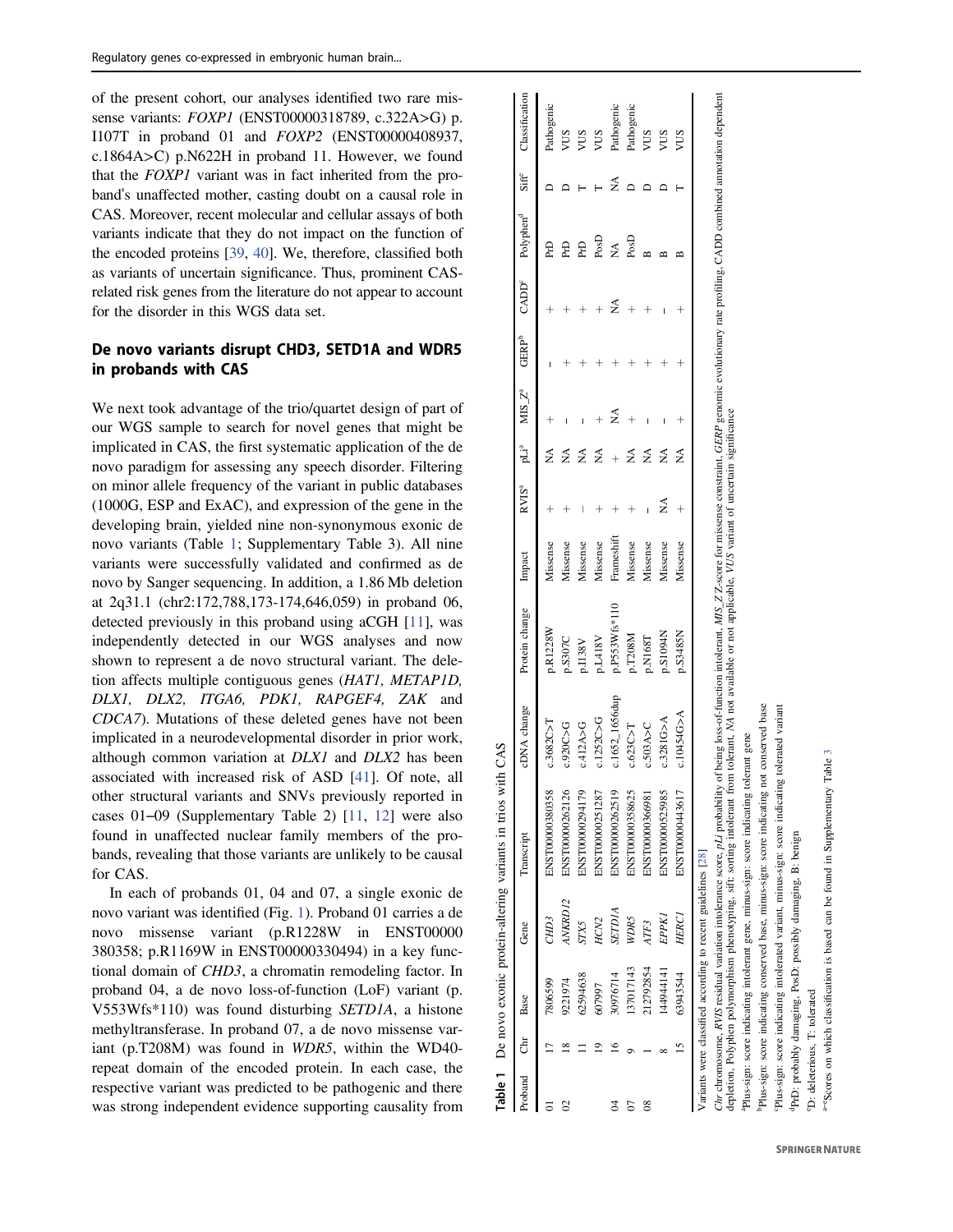of the present cohort, our analyses identi fied two rare missense variants: *FOXP1* (ENST00000318789, c.322A>G) p. I107T in proband 01 and FOXP2 (ENST00000408937, c.1864A >C) p.N622H in proband 11. However, we found that the FOXP1 variant was in fact inherited from the proband's unaffected mother, casting doubt on a causal role in CAS. Moreover, recent molecular and cellular assays of both variants indicate that they do not impact on the function of the encoded proteins [39 , 40]. We, therefore, classi fied both as variants of uncertain signi ficance. Thus, prominent CASrelated risk genes from the literature do not appear to account for the disorder in this WGS data set.

# De novo variants disrupt CHD3, SETD1A and WDR5 in probands with CAS

We next took advantage of the trio/quartet design of part of our WGS sample to search for novel genes that might be implicated in CAS, the first systematic application of the de novo paradigm for assessing any speech disorder. Filtering on minor allele frequency of the variant in public databases (1000G, ESP and ExAC), and expression of the gene in the developing brain, yielded nine non-synonymous exonic de novo variants (Table 1; Supplementary Table 3). All nine variants were successfully validated and con firmed as de novo by Sanger sequencing. In addition, a 1.86 Mb deletion at 2q31.1 (chr2:172,788,173-174,646,059) in proband 06, detected previously in this proband using aCGH [11], was independently detected in our WGS analyses and now shown to represent a de novo structural variant. The deletion affects multiple contiguous genes (HAT1, METAP1D, DLX1, DLX2, ITGA6, PDK1, RAPGEF4, ZAK and CDCA7). Mutations of these deleted genes have not been implicated in a neurodevelopmental disorder in prior work, although common variation at *DLX1* and *DLX2* has been associated with increased risk of ASD [41]. Of note, all other structural variants and SNVs previously reported in cases 01 –09 (Supplementary Table 2) [11 , 12] were also found in unaffected nuclear family members of the probands, revealing that those variants are unlikely to be causal for CAS.

In each of probands 01, 04 and 07, a single exonic de novo variant was identi fied (Fig. 1). Proband 01 carries a de novo missense variant (p.R1228W in ENST00000 380358; p.R1169W in ENST00000330494) in a key functional domain of CHD3, a chromatin remodeling factor. In proband 04, a de novo loss-of-function (LoF) variant (p. V553Wfs\*110) was found disturbing SETD1A, a histone methyltransferase. In proband 07, a de novo missense variant (p.T208M) was found in WDR5, within the WD40 repeat domain of the encoded protein. In each case, the respective variant was predicted to be pathogenic and there was strong independent evidence supporting causality from

| Proband Chr Base |   |                                                              | Gene             | Transcript                                                                        | DNA change      | Protein change                                                                                                                                                       | mpac       | RVIS <sup>a</sup> |   | MIS Z <sup>a</sup> | <b>GERP</b> <sup>b</sup> | CADD <sup>e</sup> | Polyphen <sup>d</sup> | $\Box$ assificatio |
|------------------|---|--------------------------------------------------------------|------------------|-----------------------------------------------------------------------------------|-----------------|----------------------------------------------------------------------------------------------------------------------------------------------------------------------|------------|-------------------|---|--------------------|--------------------------|-------------------|-----------------------|--------------------|
|                  |   | 7806599                                                      | CHD <sub>3</sub> | ENST00000380358                                                                   | 3682C > T       | <b>D.R1228W</b>                                                                                                                                                      | Missense   |                   | ≸ |                    |                          |                   | Æ                     | Pathogenic         |
|                  |   | 9221974                                                      | ANKRD12          | ENST00000262126                                                                   | .920C > G       | p.S307C                                                                                                                                                              | Vissense   |                   | ≸ |                    |                          |                   | £                     | SILM               |
|                  |   | 62594638                                                     | STX5             | ENST00000294179                                                                   | .412A > G       | p.I138V                                                                                                                                                              | Vissense   |                   | ≸ |                    |                          |                   | 윤                     | SUV                |
|                  |   | 607997                                                       | HCN <sub>2</sub> | ENST00000251287                                                                   | 1252C > G       | p.L418V                                                                                                                                                              | Vissense   |                   | ≸ |                    |                          |                   | $P_{OS}$              | SMA                |
|                  |   | 30976714                                                     | <b>RIDIA</b>     | ENST00000262519                                                                   | $:1652$ 1656dup | p.P553Wfs*110                                                                                                                                                        | Frameshift |                   |   |                    |                          | ≶                 | ≸                     | Pathogenic         |
|                  |   | 137017143                                                    | WDR5             | ENST00000358625                                                                   | 0.623C > T      | p.T208M                                                                                                                                                              | Missense   |                   | ≶ |                    |                          |                   | PosD                  | Pathogenic         |
|                  |   | 212792854                                                    | ATF3             | ENST00000366981                                                                   | c.503A > C      | p.N168T                                                                                                                                                              | Missense   |                   | ≸ |                    |                          |                   |                       | SUN                |
|                  |   | 144944141                                                    | EPPKI            | ENST00000525985                                                                   | 0.3281G>A       | p.S1094N                                                                                                                                                             | Vissense   |                   | ≶ |                    |                          |                   |                       | SILM               |
|                  | 5 | 63943544                                                     | <b>HERC1</b>     | ENST00000443617                                                                   | A5401A          | 0.S3485N                                                                                                                                                             | dissense   |                   | ≸ |                    |                          |                   |                       | SQA                |
|                  |   | Variants were classified according to recent guidelines [28] |                  |                                                                                   |                 | being loss-of-function intolerant, <i>MIS_Z Z</i> -score for missense constraint, <i>GERP</i> genomic evolutionary rate profiling, CADD combined annotation depender |            |                   |   |                    |                          |                   |                       |                    |
|                  |   |                                                              |                  | $Chr$ chromosome, RVIS residual variation intolerance score, $pLi$ probability of |                 |                                                                                                                                                                      | $-22$      |                   |   |                    |                          |                   |                       |                    |

Table 1 De novo exonic protein-altering variants in trios with CAS

Å

Table 1

novo exonic protein-altering variants in trios with CAS

depletion, Polyphen polymorphism phenotyping, sift: sorting intolerant from tolerant, NA not available or not applicable, VUS variant of uncertain significance of uncertain significance not applicable, VUS variant depletion, Polyphen polymorphism phenotyping, sift: sorting intolerant from tolerant, NA not available or

Plus-sign: score indicating intolerant gene, minus-sign: score indicating tolerant gene aPlus-sign: score indicating intolerant gene, minus-sign: score indicating tolerant gene

bPlus-sign: score indicating conserved base, minus-sign: score indicating not conserved base not conserved base indicating minus-sign: score base, indicating conserved Plus-sign: score tolerated variant cPlus-sign: score indicating intolerated variant, minus-sign: score indicating tolerated variant minus-sign: score indicating Plus-sign: score indicating intolerated variant,

<sup>4</sup>PrD: probably damaging, PosD: possibly damaging, B: benign dPrD: probably damaging, PosD: possibly damaging, B: benign

D: deleterious, T: tolerated eD: deleterious, T: tolerated

a–eScores on which classification is based can be found in Supplementary Table 3 "Scores on which classification is based can be found in Supplementary Table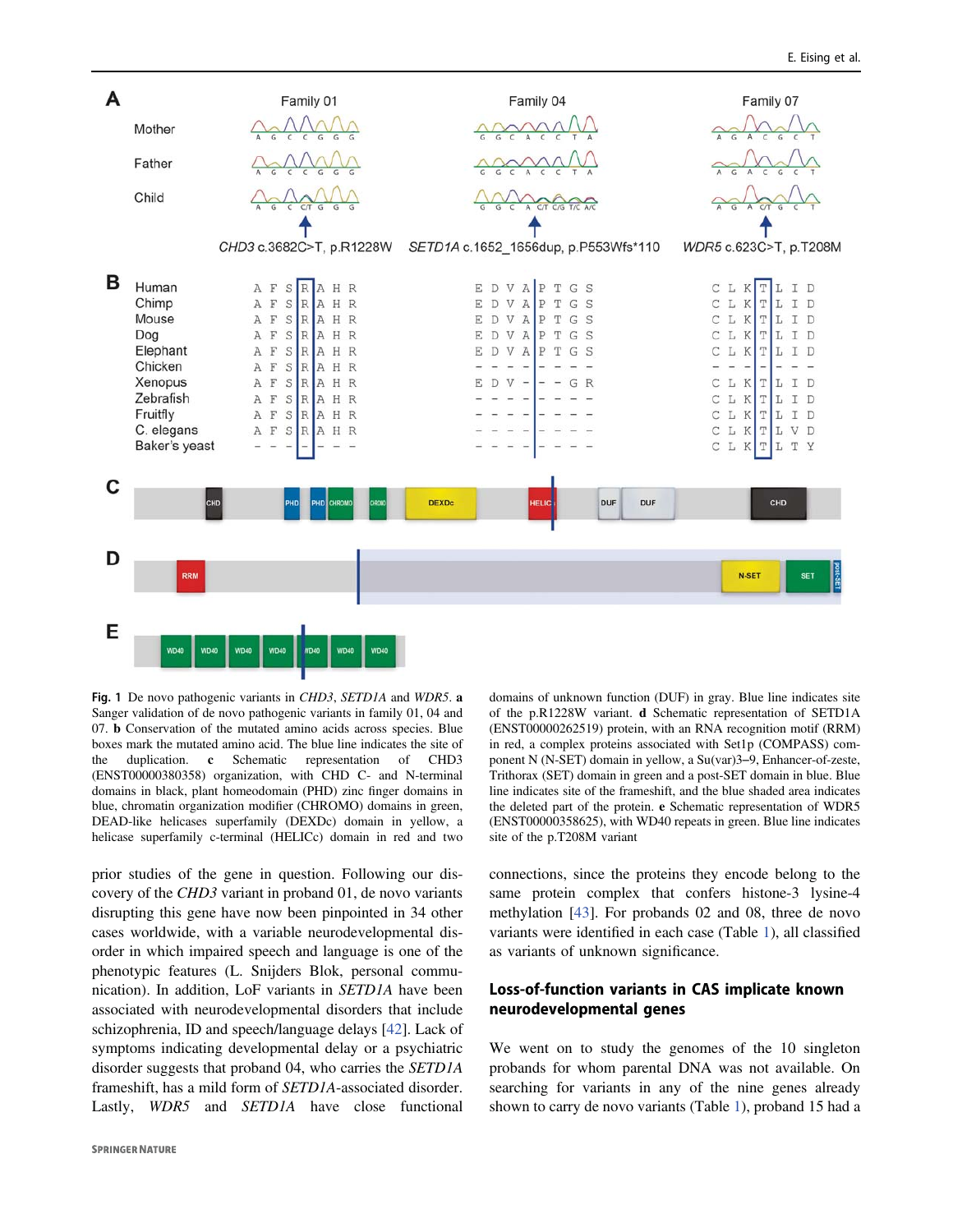

Fig. 1 De novo pathogenic variants in CHD3, SETD1A and WDR5. a Sanger validation of de novo pathogenic variants in family 01, 04 and 07. b Conservation of the mutated amino acids across species. Blue boxes mark the mutated amino acid. The blue line indicates the site of the duplication. c Schematic representation of CHD3 (ENST00000380358) organization, with CHD C- and N-terminal domains in black, plant homeodomain (PHD) zinc finger domains in blue, chromatin organization modifier (CHROMO) domains in green, DEAD-like helicases superfamily (DEXDc) domain in yellow, a helicase superfamily c-terminal (HELICc) domain in red and two

prior studies of the gene in question. Following our discovery of the CHD3 variant in proband 01, de novo variants disrupting this gene have now been pinpointed in 34 other cases worldwide, with a variable neurodevelopmental disorder in which impaired speech and language is one of the phenotypic features (L. Snijders Blok, personal communication). In addition, LoF variants in SETD1A have been associated with neurodevelopmental disorders that include schizophrenia, ID and speech/language delays [42]. Lack of symptoms indicating developmental delay or a psychiatric disorder suggests that proband 04, who carries the SETD1A frameshift, has a mild form of SETD1A-associated disorder. Lastly, WDR5 and SETD1A have close functional domains of unknown function (DUF) in gray. Blue line indicates site of the p.R1228W variant. d Schematic representation of SETD1A (ENST00000262519) protein, with an RNA recognition motif (RRM) in red, a complex proteins associated with Set1p (COMPASS) component N (N-SET) domain in yellow, a Su(var)3–9, Enhancer-of-zeste, Trithorax (SET) domain in green and a post-SET domain in blue. Blue line indicates site of the frameshift, and the blue shaded area indicates the deleted part of the protein. e Schematic representation of WDR5 (ENST00000358625), with WD40 repeats in green. Blue line indicates site of the p.T208M variant

connections, since the proteins they encode belong to the same protein complex that confers histone-3 lysine-4 methylation [43]. For probands 02 and 08, three de novo variants were identified in each case (Table 1), all classified as variants of unknown significance.

# Loss-of-function variants in CAS implicate known neurodevelopmental genes

We went on to study the genomes of the 10 singleton probands for whom parental DNA was not available. On searching for variants in any of the nine genes already shown to carry de novo variants (Table 1), proband 15 had a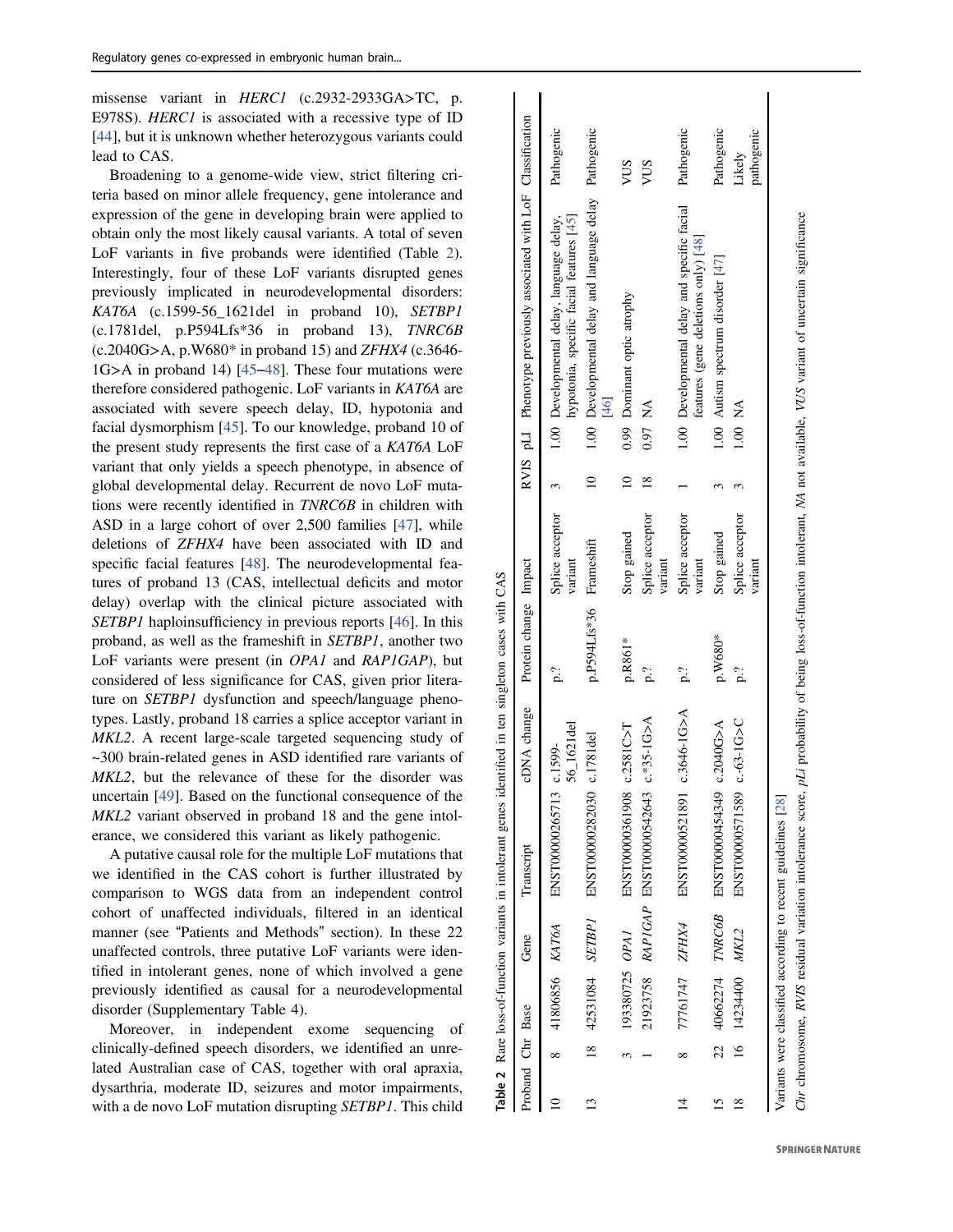missense variant in *HERC1* (c.2932-2933GA>TC, p. E978S). HERC1 is associated with a recessive type of ID [44], but it is unknown whether heterozygous variants could lead to CAS.

Broadening to a genome-wide view, strict filtering criteria based on minor allele frequency, gene intolerance and expression of the gene in developing brain were applied to obtain only the most likely causal variants. A total of seven LoF variants in five probands were identified (Table 2). Interestingly, four of these LoF variants disrupted genes previously implicated in neurodevelopmental disorders:  $KAT6A$  (c.1599-56 1621del in proband 10), SETBP1 (c.1781del, p.P594Lfs\*36 in proband 13), TNRC6B (c.2040G >A, p.W680\* in proband 15) and ZFHX4 (c.3646- 1G >A in proband 14) [45 –48]. These four mutations were therefore considered pathogenic. LoF variants in KAT6A are associated with severe speech delay, ID, hypotonia and facial dysmorphism [45]. To our knowledge, proband 10 of the present study represents the first case of a KAT6A LoF variant that only yields a speech phenotype, in absence of global developmental delay. Recurrent de novo LoF mutations were recently identified in TNRC6B in children with ASD in a large cohort of over 2,500 families [47], while deletions of ZFHX4 have been associated with ID and speci fic facial features [48]. The neurodevelopmental features of proband 13 (CAS, intellectual deficits and motor delay) overlap with the clinical picture associated with SETBP1 haploinsufficiency in previous reports [46]. In this proband, as well as the frameshift in SETBP1, another two LoF variants were present (in OPA1 and RAP1GAP), but considered of less signi ficance for CAS, given prior literature on SETBP1 dysfunction and speech/language phenotypes. Lastly, proband 18 carries a splice acceptor variant in MKL2. A recent large-scale targeted sequencing study of ~300 brain-related genes in ASD identi fied rare variants of MKL2, but the relevance of these for the disorder was uncertain [49]. Based on the functional consequence of the MKL2 variant observed in proband 18 and the gene intolerance, we considered this variant as likely pathogenic.

A putative causal role for the multiple LoF mutations that we identi fied in the CAS cohort is further illustrated by comparison to WGS data from an independent control cohort of unaffected individuals, filtered in an identical manner (see "Patients and Methods " section). In these 22 unaffected controls, three putative LoF variants were identified in intolerant genes, none of which involved a gene previously identi fied as causal for a neurodevelopmental disorder (Supplementary Table 4).

Moreover, in independent exome sequencing of clinically-de fined speech disorders, we identi fied an unrelated Australian case of CAS, together with oral apraxia, dysarthria, moderate ID, seizures and motor impairments, with a de novo LoF mutation disrupting *SETBP1*. This child

| Proband Chr Base |                |                    | Gene | Transcript                                                   | cDNA change             | Protein change Impact |                            |               |         | RVIS pLI Phenotype previously associated with LoF Classification                                                                                                         |                      |
|------------------|----------------|--------------------|------|--------------------------------------------------------------|-------------------------|-----------------------|----------------------------|---------------|---------|--------------------------------------------------------------------------------------------------------------------------------------------------------------------------|----------------------|
|                  | ∝              | 41806856 KAT6A     |      | ENST00000265713                                              | 56_1621del<br>$c.1599-$ | p.?                   | Splice acceptor<br>variant |               |         | hypotonia, specific facial features [45]<br>1.00 Developmental delay, language delay,                                                                                    | Pathogenic           |
|                  | $\frac{8}{18}$ | 42531084 SETBPI    |      | ENST00000282030                                              | c.1781del               | p.P594Lfs*36          | Frameshift                 |               |         | 1.00 Developmental delay and language delay Pathogenic<br>46                                                                                                             |                      |
|                  |                | 193380725 OPAI     |      | ENST00000361908                                              | c.2581C > T             | p.R861*               | Stop gained                | $\approx$     |         | 0.99 Dominant optic atrophy                                                                                                                                              | <b>NUS</b>           |
|                  |                |                    |      | 21923758 RAPIGAP ENST0000542643                              | $c.*35-1G>A$            | ρ.?                   | Splice acceptor<br>variant | $\frac{8}{2}$ | 0.97 NA |                                                                                                                                                                          | <b>NUS</b>           |
|                  |                | 77761747 ZFHX4     |      | ENST00000521891                                              | $c.3646 - 1G > A$       | p.?                   | Splice acceptor<br>variant |               |         | 1.00 Developmental delay and specific facial<br>features (gene deletions only) [48]                                                                                      | Pathogenic           |
|                  |                | 22 40662274 TNRC6B |      | ENST00000454349                                              | c.2040G>A               | p.W680*               | Stop gained                |               |         | 1.00 Autism spectrum disorder [47]                                                                                                                                       | Pathogenic           |
| ≊                |                | 16 14234400 MKL2   |      | ENST00000571589                                              | $c - 63 - 1G > C$       | p.?                   | Splice acceptor<br>variant |               | 1.00 NA |                                                                                                                                                                          | pathogenic<br>Likely |
|                  |                |                    |      | Variants were classified according to recent guidelines [28] |                         |                       |                            |               |         | Chr chromosome, RVIS residual variation intolerance score, pLi probability of being loss-of-function intolerant, NA not available, VUS variant of uncertain significance |                      |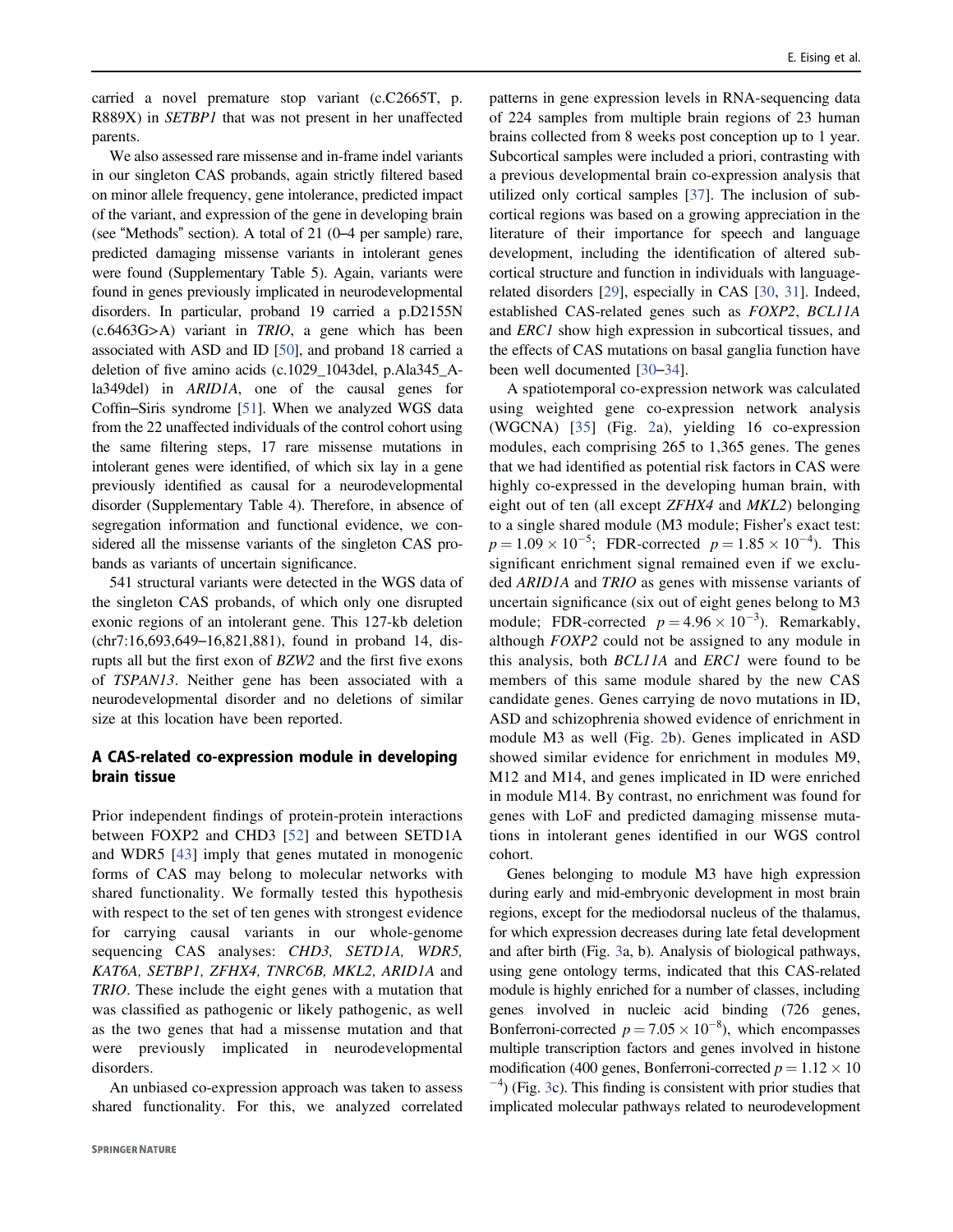carried a novel premature stop variant (c.C2665T, p. R889X) in SETBP1 that was not present in her unaffected parents.

We also assessed rare missense and in-frame indel variants in our singleton CAS probands, again strictly filtered based on minor allele frequency, gene intolerance, predicted impact of the variant, and expression of the gene in developing brain (see "Methods" section). A total of 21 (0–4 per sample) rare, predicted damaging missense variants in intolerant genes were found (Supplementary Table 5). Again, variants were found in genes previously implicated in neurodevelopmental disorders. In particular, proband 19 carried a p.D2155N  $(c.6463G>A)$  variant in *TRIO*, a gene which has been associated with ASD and ID [50], and proband 18 carried a deletion of five amino acids (c.1029\_1043del, p.Ala345\_Ala349del) in ARID1A, one of the causal genes for Coffin–Siris syndrome [51]. When we analyzed WGS data from the 22 unaffected individuals of the control cohort using the same filtering steps, 17 rare missense mutations in intolerant genes were identified, of which six lay in a gene previously identified as causal for a neurodevelopmental disorder (Supplementary Table 4). Therefore, in absence of segregation information and functional evidence, we considered all the missense variants of the singleton CAS probands as variants of uncertain significance.

541 structural variants were detected in the WGS data of the singleton CAS probands, of which only one disrupted exonic regions of an intolerant gene. This 127-kb deletion (chr7:16,693,649–16,821,881), found in proband 14, disrupts all but the first exon of BZW2 and the first five exons of TSPAN13. Neither gene has been associated with a neurodevelopmental disorder and no deletions of similar size at this location have been reported.

# A CAS-related co-expression module in developing brain tissue

Prior independent findings of protein-protein interactions between FOXP2 and CHD3 [52] and between SETD1A and WDR5 [43] imply that genes mutated in monogenic forms of CAS may belong to molecular networks with shared functionality. We formally tested this hypothesis with respect to the set of ten genes with strongest evidence for carrying causal variants in our whole-genome sequencing CAS analyses: *CHD3*, *SETD1A*, *WDR5*, KAT6A, SETBP1, ZFHX4, TNRC6B, MKL2, ARID1A and TRIO. These include the eight genes with a mutation that was classified as pathogenic or likely pathogenic, as well as the two genes that had a missense mutation and that were previously implicated in neurodevelopmental disorders.

An unbiased co-expression approach was taken to assess shared functionality. For this, we analyzed correlated

patterns in gene expression levels in RNA-sequencing data of 224 samples from multiple brain regions of 23 human brains collected from 8 weeks post conception up to 1 year. Subcortical samples were included a priori, contrasting with a previous developmental brain co-expression analysis that utilized only cortical samples [37]. The inclusion of subcortical regions was based on a growing appreciation in the literature of their importance for speech and language development, including the identification of altered subcortical structure and function in individuals with languagerelated disorders [29], especially in CAS [30, 31]. Indeed, established CAS-related genes such as FOXP2, BCL11A and ERC1 show high expression in subcortical tissues, and the effects of CAS mutations on basal ganglia function have been well documented [30–34].

A spatiotemporal co-expression network was calculated using weighted gene co-expression network analysis (WGCNA) [35] (Fig. 2a), yielding 16 co-expression modules, each comprising 265 to 1,365 genes. The genes that we had identified as potential risk factors in CAS were highly co-expressed in the developing human brain, with eight out of ten (all except ZFHX4 and MKL2) belonging to a single shared module (M3 module; Fisher's exact test:  $p = 1.09 \times 10^{-5}$ ; FDR-corrected  $p = 1.85 \times 10^{-4}$ ). This significant enrichment signal remained even if we excluded ARID1A and TRIO as genes with missense variants of uncertain significance (six out of eight genes belong to M3 module; FDR-corrected  $p = 4.96 \times 10^{-3}$ ). Remarkably, although FOXP2 could not be assigned to any module in this analysis, both BCL11A and ERC1 were found to be members of this same module shared by the new CAS candidate genes. Genes carrying de novo mutations in ID, ASD and schizophrenia showed evidence of enrichment in module M3 as well (Fig. 2b). Genes implicated in ASD showed similar evidence for enrichment in modules M9, M12 and M14, and genes implicated in ID were enriched in module M14. By contrast, no enrichment was found for genes with LoF and predicted damaging missense mutations in intolerant genes identified in our WGS control cohort.

Genes belonging to module M3 have high expression during early and mid-embryonic development in most brain regions, except for the mediodorsal nucleus of the thalamus, for which expression decreases during late fetal development and after birth (Fig. 3a, b). Analysis of biological pathways, using gene ontology terms, indicated that this CAS-related module is highly enriched for a number of classes, including genes involved in nucleic acid binding (726 genes, Bonferroni-corrected  $p = 7.05 \times 10^{-8}$ , which encompasses multiple transcription factors and genes involved in histone modification (400 genes, Bonferroni-corrected  $p = 1.12 \times 10$ −4 ) (Fig. 3c). This finding is consistent with prior studies that implicated molecular pathways related to neurodevelopment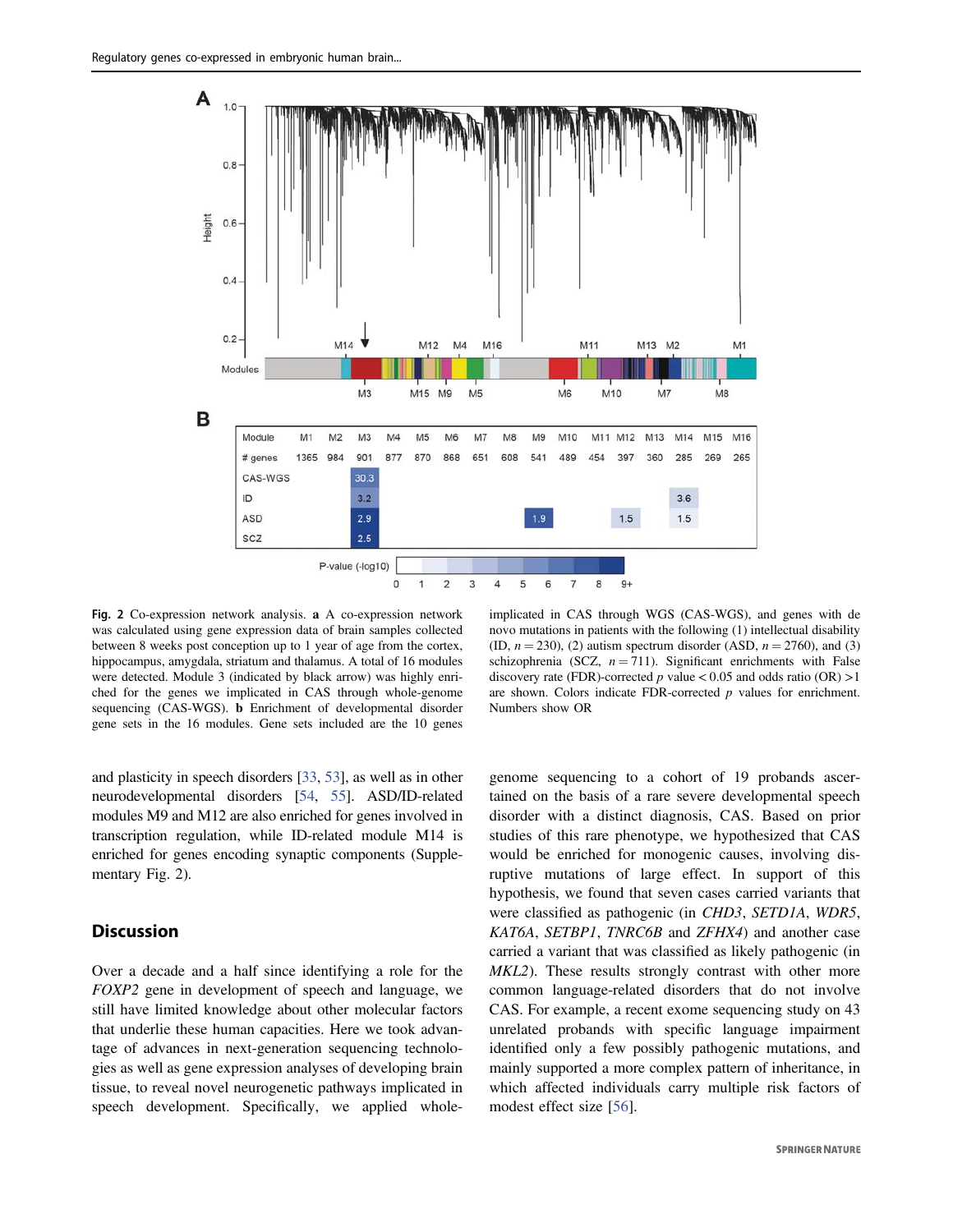

Fig. 2 Co-expression network analysis. a A co-expression network was calculated using gene expression data of brain samples collected between 8 weeks post conception up to 1 year of age from the cortex, hippocampus, amygdala, striatum and thalamus. A total of 16 modules were detected. Module 3 (indicated by black arrow) was highly enriched for the genes we implicated in CAS through whole-genome sequencing (CAS-WGS). b Enrichment of developmental disorder gene sets in the 16 modules. Gene sets included are the 10 genes

and plasticity in speech disorders [33, 53], as well as in other neurodevelopmental disorders [54, 55]. ASD/ID-related modules M9 and M12 are also enriched for genes involved in transcription regulation, while ID-related module M14 is enriched for genes encoding synaptic components (Supplementary Fig. 2).

## **Discussion**

Over a decade and a half since identifying a role for the FOXP2 gene in development of speech and language, we still have limited knowledge about other molecular factors that underlie these human capacities. Here we took advantage of advances in next-generation sequencing technologies as well as gene expression analyses of developing brain tissue, to reveal novel neurogenetic pathways implicated in speech development. Specifically, we applied whole-

implicated in CAS through WGS (CAS-WGS), and genes with de novo mutations in patients with the following (1) intellectual disability (ID,  $n = 230$ ), (2) autism spectrum disorder (ASD,  $n = 2760$ ), and (3) schizophrenia (SCZ,  $n = 711$ ). Significant enrichments with False discovery rate (FDR)-corrected  $p$  value < 0.05 and odds ratio (OR) >1 are shown. Colors indicate FDR-corrected  $p$  values for enrichment. Numbers show OR

genome sequencing to a cohort of 19 probands ascertained on the basis of a rare severe developmental speech disorder with a distinct diagnosis, CAS. Based on prior studies of this rare phenotype, we hypothesized that CAS would be enriched for monogenic causes, involving disruptive mutations of large effect. In support of this hypothesis, we found that seven cases carried variants that were classified as pathogenic (in CHD3, SETD1A, WDR5, KAT6A, SETBP1, TNRC6B and ZFHX4) and another case carried a variant that was classified as likely pathogenic (in MKL2). These results strongly contrast with other more common language-related disorders that do not involve CAS. For example, a recent exome sequencing study on 43 unrelated probands with specific language impairment identified only a few possibly pathogenic mutations, and mainly supported a more complex pattern of inheritance, in which affected individuals carry multiple risk factors of modest effect size [56].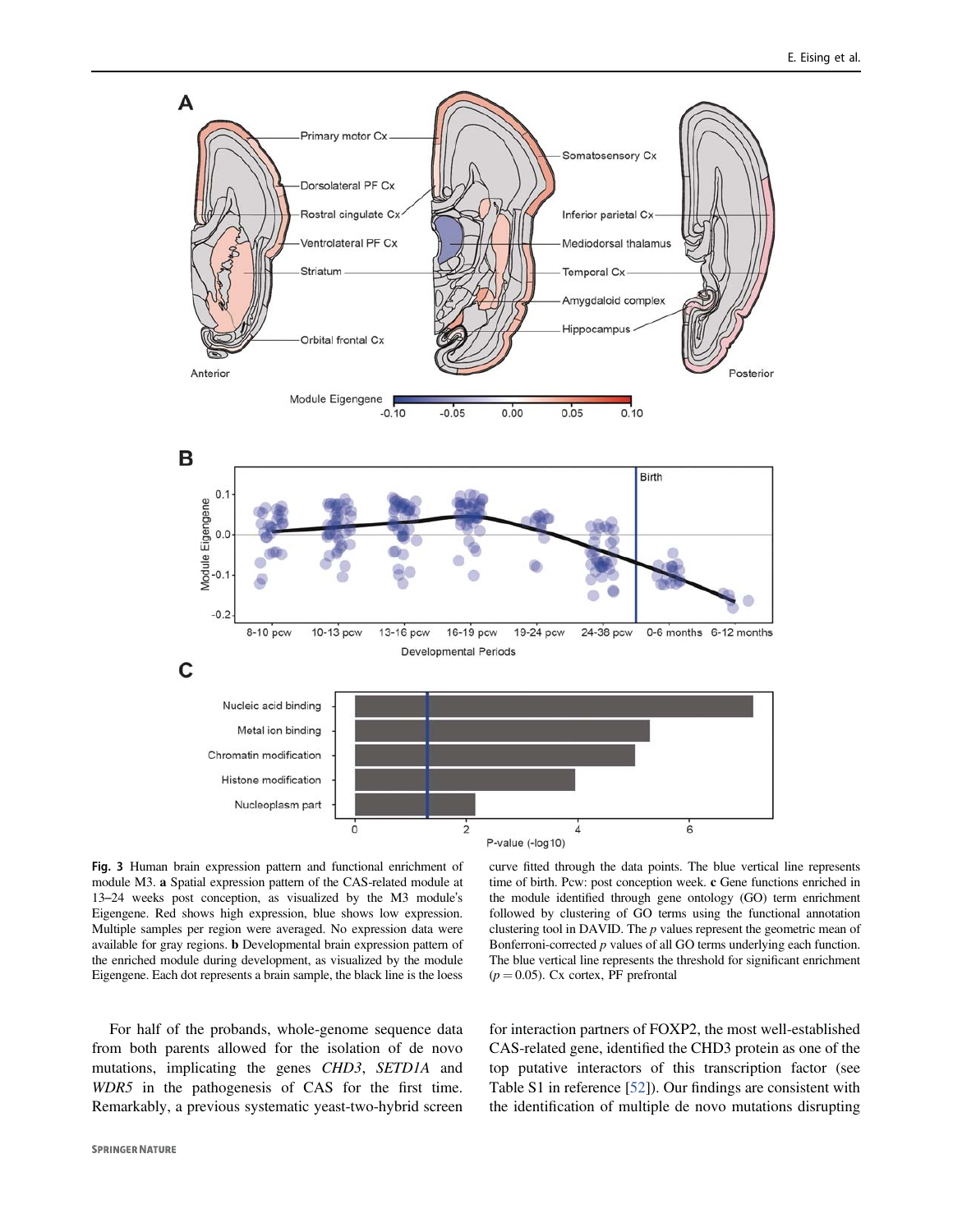

Fig. 3 Human brain expression pattern and functional enrichment of module M3. a Spatial expression pattern of the CAS-related module at 13–24 weeks post conception, as visualized by the M3 module's Eigengene. Red shows high expression, blue shows low expression. Multiple samples per region were averaged. No expression data were available for gray regions. b Developmental brain expression pattern of the enriched module during development, as visualized by the module Eigengene. Each dot represents a brain sample, the black line is the loess

curve fitted through the data points. The blue vertical line represents time of birth. Pcw: post conception week. c Gene functions enriched in the module identified through gene ontology (GO) term enrichment followed by clustering of GO terms using the functional annotation clustering tool in DAVID. The  $p$  values represent the geometric mean of Bonferroni-corrected p values of all GO terms underlying each function. The blue vertical line represents the threshold for significant enrichment  $(p = 0.05)$ . Cx cortex, PF prefrontal

For half of the probands, whole-genome sequence data from both parents allowed for the isolation of de novo mutations, implicating the genes CHD3, SETD1A and WDR5 in the pathogenesis of CAS for the first time. Remarkably, a previous systematic yeast-two-hybrid screen for interaction partners of FOXP2, the most well-established CAS-related gene, identified the CHD3 protein as one of the top putative interactors of this transcription factor (see Table S1 in reference [52]). Our findings are consistent with the identification of multiple de novo mutations disrupting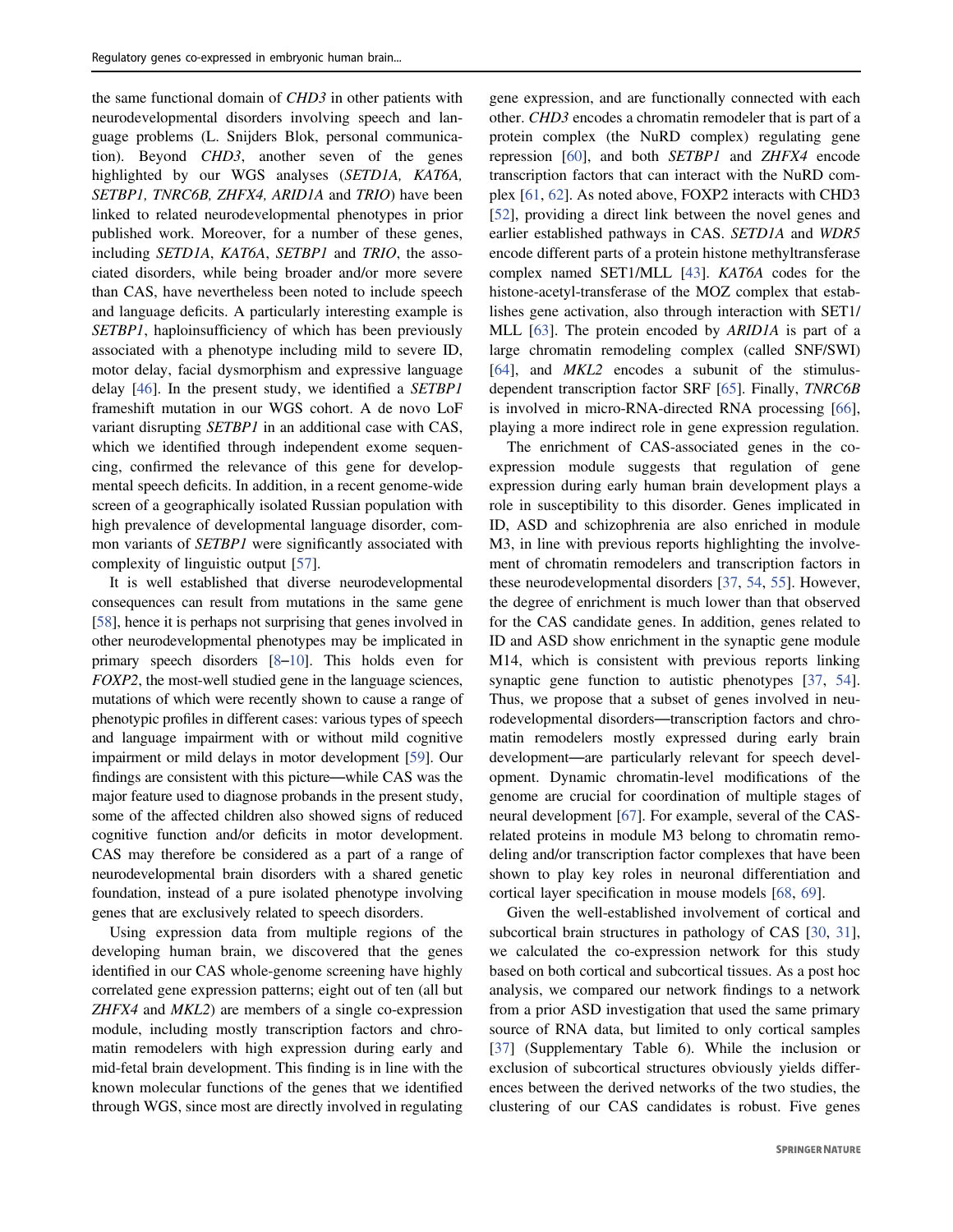the same functional domain of CHD3 in other patients with neurodevelopmental disorders involving speech and language problems (L. Snijders Blok, personal communication). Beyond CHD3, another seven of the genes highlighted by our WGS analyses (SETD1A, KAT6A, SETBP1, TNRC6B, ZHFX4, ARID1A and TRIO) have been linked to related neurodevelopmental phenotypes in prior published work. Moreover, for a number of these genes, including SETD1A, KAT6A, SETBP1 and TRIO, the associated disorders, while being broader and/or more severe than CAS, have nevertheless been noted to include speech and language deficits. A particularly interesting example is SETBP1, haploinsufficiency of which has been previously associated with a phenotype including mild to severe ID, motor delay, facial dysmorphism and expressive language delay [46]. In the present study, we identified a SETBP1 frameshift mutation in our WGS cohort. A de novo LoF variant disrupting SETBP1 in an additional case with CAS, which we identified through independent exome sequencing, confirmed the relevance of this gene for developmental speech deficits. In addition, in a recent genome-wide screen of a geographically isolated Russian population with high prevalence of developmental language disorder, common variants of *SETBP1* were significantly associated with complexity of linguistic output [57].

It is well established that diverse neurodevelopmental consequences can result from mutations in the same gene [58], hence it is perhaps not surprising that genes involved in other neurodevelopmental phenotypes may be implicated in primary speech disorders [8–10]. This holds even for FOXP2, the most-well studied gene in the language sciences, mutations of which were recently shown to cause a range of phenotypic profiles in different cases: various types of speech and language impairment with or without mild cognitive impairment or mild delays in motor development [59]. Our findings are consistent with this picture—while CAS was the major feature used to diagnose probands in the present study, some of the affected children also showed signs of reduced cognitive function and/or deficits in motor development. CAS may therefore be considered as a part of a range of neurodevelopmental brain disorders with a shared genetic foundation, instead of a pure isolated phenotype involving genes that are exclusively related to speech disorders.

Using expression data from multiple regions of the developing human brain, we discovered that the genes identified in our CAS whole-genome screening have highly correlated gene expression patterns; eight out of ten (all but ZHFX4 and MKL2) are members of a single co-expression module, including mostly transcription factors and chromatin remodelers with high expression during early and mid-fetal brain development. This finding is in line with the known molecular functions of the genes that we identified through WGS, since most are directly involved in regulating gene expression, and are functionally connected with each other. CHD3 encodes a chromatin remodeler that is part of a protein complex (the NuRD complex) regulating gene repression [60], and both SETBP1 and ZHFX4 encode transcription factors that can interact with the NuRD complex [61, 62]. As noted above, FOXP2 interacts with CHD3 [52], providing a direct link between the novel genes and earlier established pathways in CAS. SETD1A and WDR5 encode different parts of a protein histone methyltransferase complex named SET1/MLL [43]. KAT6A codes for the histone-acetyl-transferase of the MOZ complex that establishes gene activation, also through interaction with SET1/ MLL [63]. The protein encoded by ARID1A is part of a large chromatin remodeling complex (called SNF/SWI) [64], and MKL2 encodes a subunit of the stimulusdependent transcription factor SRF [65]. Finally, TNRC6B is involved in micro-RNA-directed RNA processing [66], playing a more indirect role in gene expression regulation.

The enrichment of CAS-associated genes in the coexpression module suggests that regulation of gene expression during early human brain development plays a role in susceptibility to this disorder. Genes implicated in ID, ASD and schizophrenia are also enriched in module M3, in line with previous reports highlighting the involvement of chromatin remodelers and transcription factors in these neurodevelopmental disorders [37, 54, 55]. However, the degree of enrichment is much lower than that observed for the CAS candidate genes. In addition, genes related to ID and ASD show enrichment in the synaptic gene module M14, which is consistent with previous reports linking synaptic gene function to autistic phenotypes [37, 54]. Thus, we propose that a subset of genes involved in neurodevelopmental disorders—transcription factors and chromatin remodelers mostly expressed during early brain development—are particularly relevant for speech development. Dynamic chromatin-level modifications of the genome are crucial for coordination of multiple stages of neural development [67]. For example, several of the CASrelated proteins in module M3 belong to chromatin remodeling and/or transcription factor complexes that have been shown to play key roles in neuronal differentiation and cortical layer specification in mouse models [68, 69].

Given the well-established involvement of cortical and subcortical brain structures in pathology of CAS [30, 31], we calculated the co-expression network for this study based on both cortical and subcortical tissues. As a post hoc analysis, we compared our network findings to a network from a prior ASD investigation that used the same primary source of RNA data, but limited to only cortical samples [37] (Supplementary Table 6). While the inclusion or exclusion of subcortical structures obviously yields differences between the derived networks of the two studies, the clustering of our CAS candidates is robust. Five genes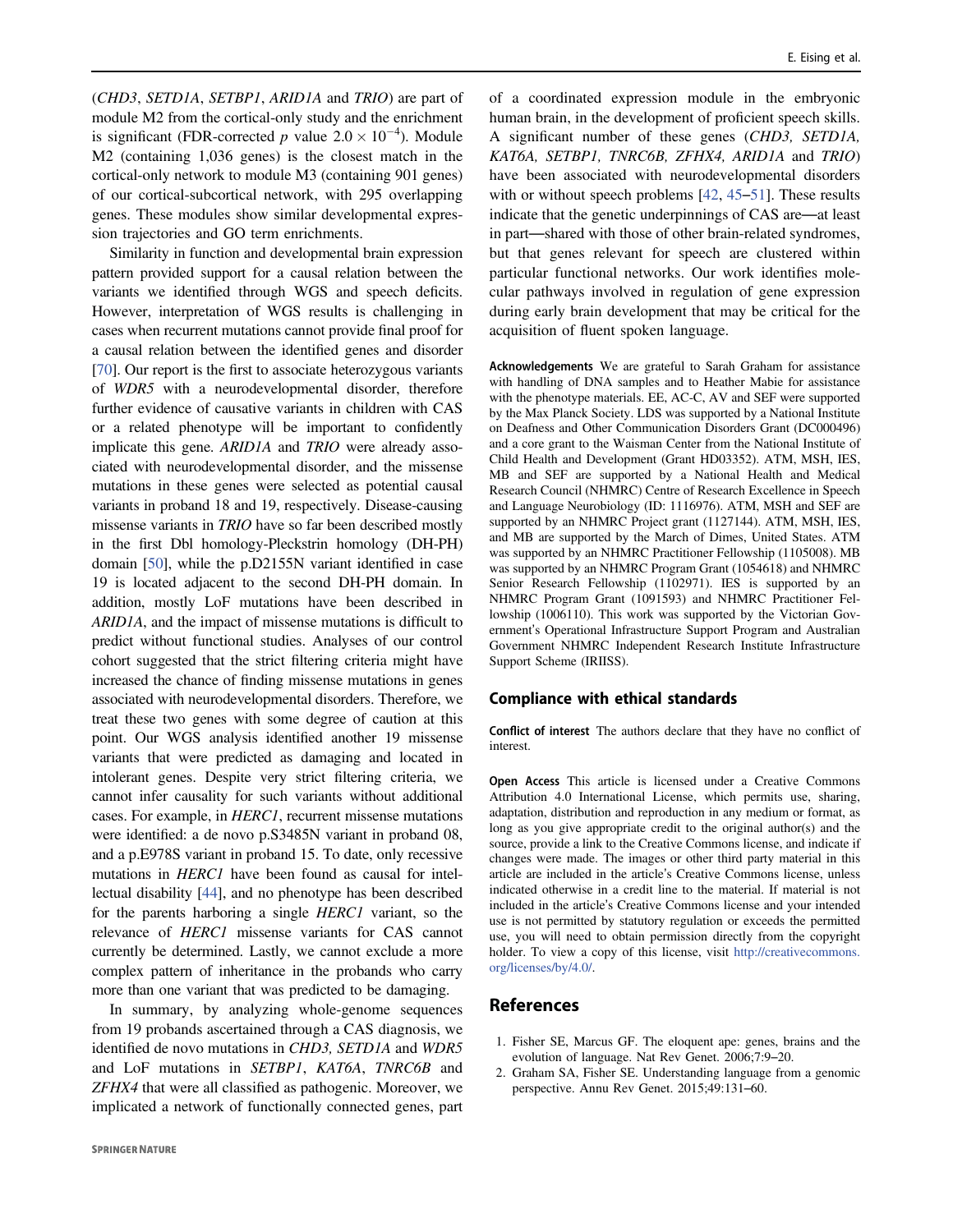(CHD3, SETD1A, SETBP1, ARID1A and TRIO) are part of module M2 from the cortical-only study and the enrichment is significant (FDR-corrected p value  $2.0 \times 10^{-4}$ ). Module M2 (containing 1,036 genes) is the closest match in the cortical-only network to module M3 (containing 901 genes) of our cortical-subcortical network, with 295 overlapping genes. These modules show similar developmental expression trajectories and GO term enrichments.

Similarity in function and developmental brain expression pattern provided support for a causal relation between the variants we identified through WGS and speech deficits. However, interpretation of WGS results is challenging in cases when recurrent mutations cannot provide final proof for a causal relation between the identified genes and disorder [70]. Our report is the first to associate heterozygous variants of WDR5 with a neurodevelopmental disorder, therefore further evidence of causative variants in children with CAS or a related phenotype will be important to confidently implicate this gene. ARID1A and TRIO were already associated with neurodevelopmental disorder, and the missense mutations in these genes were selected as potential causal variants in proband 18 and 19, respectively. Disease-causing missense variants in TRIO have so far been described mostly in the first Dbl homology-Pleckstrin homology (DH-PH) domain [50], while the p.D2155N variant identified in case 19 is located adjacent to the second DH-PH domain. In addition, mostly LoF mutations have been described in ARID1A, and the impact of missense mutations is difficult to predict without functional studies. Analyses of our control cohort suggested that the strict filtering criteria might have increased the chance of finding missense mutations in genes associated with neurodevelopmental disorders. Therefore, we treat these two genes with some degree of caution at this point. Our WGS analysis identified another 19 missense variants that were predicted as damaging and located in intolerant genes. Despite very strict filtering criteria, we cannot infer causality for such variants without additional cases. For example, in HERC1, recurrent missense mutations were identified: a de novo p.S3485N variant in proband 08, and a p.E978S variant in proband 15. To date, only recessive mutations in *HERC1* have been found as causal for intellectual disability [44], and no phenotype has been described for the parents harboring a single HERC1 variant, so the relevance of HERC1 missense variants for CAS cannot currently be determined. Lastly, we cannot exclude a more complex pattern of inheritance in the probands who carry more than one variant that was predicted to be damaging.

In summary, by analyzing whole-genome sequences from 19 probands ascertained through a CAS diagnosis, we identified de novo mutations in CHD3, SETD1A and WDR5 and LoF mutations in SETBP1, KAT6A, TNRC6B and ZFHX4 that were all classified as pathogenic. Moreover, we implicated a network of functionally connected genes, part

of a coordinated expression module in the embryonic human brain, in the development of proficient speech skills. A significant number of these genes (CHD3, SETD1A, KAT6A, SETBP1, TNRC6B, ZFHX4, ARID1A and TRIO) have been associated with neurodevelopmental disorders with or without speech problems [42, 45–51]. These results indicate that the genetic underpinnings of CAS are—at least in part—shared with those of other brain-related syndromes, but that genes relevant for speech are clustered within particular functional networks. Our work identifies molecular pathways involved in regulation of gene expression during early brain development that may be critical for the acquisition of fluent spoken language.

Acknowledgements We are grateful to Sarah Graham for assistance with handling of DNA samples and to Heather Mabie for assistance with the phenotype materials. EE, AC-C, AV and SEF were supported by the Max Planck Society. LDS was supported by a National Institute on Deafness and Other Communication Disorders Grant (DC000496) and a core grant to the Waisman Center from the National Institute of Child Health and Development (Grant HD03352). ATM, MSH, IES, MB and SEF are supported by a National Health and Medical Research Council (NHMRC) Centre of Research Excellence in Speech and Language Neurobiology (ID: 1116976). ATM, MSH and SEF are supported by an NHMRC Project grant (1127144). ATM, MSH, IES, and MB are supported by the March of Dimes, United States. ATM was supported by an NHMRC Practitioner Fellowship (1105008). MB was supported by an NHMRC Program Grant (1054618) and NHMRC Senior Research Fellowship (1102971). IES is supported by an NHMRC Program Grant (1091593) and NHMRC Practitioner Fellowship (1006110). This work was supported by the Victorian Government's Operational Infrastructure Support Program and Australian Government NHMRC Independent Research Institute Infrastructure Support Scheme (IRIISS).

#### Compliance with ethical standards

Conflict of interest The authors declare that they have no conflict of interest.

Open Access This article is licensed under a Creative Commons Attribution 4.0 International License, which permits use, sharing, adaptation, distribution and reproduction in any medium or format, as long as you give appropriate credit to the original author(s) and the source, provide a link to the Creative Commons license, and indicate if changes were made. The images or other third party material in this article are included in the article's Creative Commons license, unless indicated otherwise in a credit line to the material. If material is not included in the article's Creative Commons license and your intended use is not permitted by statutory regulation or exceeds the permitted use, you will need to obtain permission directly from the copyright holder. To view a copy of this license, visit http://creativecommons. org/licenses/by/4.0/.

#### References

- 1. Fisher SE, Marcus GF. The eloquent ape: genes, brains and the evolution of language. Nat Rev Genet. 2006;7:9–20.
- 2. Graham SA, Fisher SE. Understanding language from a genomic perspective. Annu Rev Genet. 2015;49:131–60.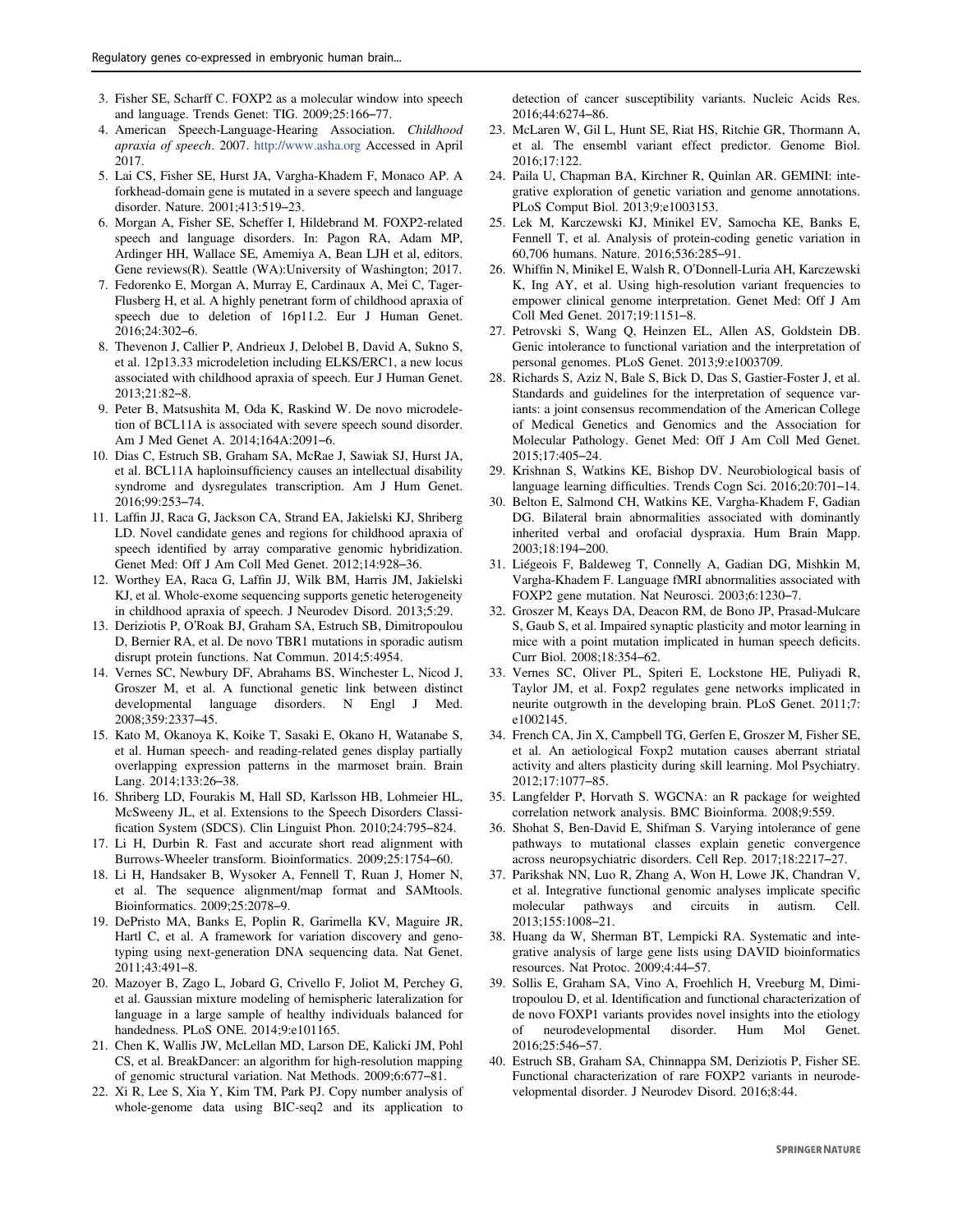- 3. Fisher SE, Scharff C. FOXP2 as a molecular window into speech and language. Trends Genet: TIG. 2009;25:166–77.
- 4. American Speech-Language-Hearing Association. Childhood apraxia of speech. 2007. http://www.asha.org Accessed in April 2017.
- 5. Lai CS, Fisher SE, Hurst JA, Vargha-Khadem F, Monaco AP. A forkhead-domain gene is mutated in a severe speech and language disorder. Nature. 2001;413:519–23.
- 6. Morgan A, Fisher SE, Scheffer I, Hildebrand M. FOXP2-related speech and language disorders. In: Pagon RA, Adam MP, Ardinger HH, Wallace SE, Amemiya A, Bean LJH et al, editors. Gene reviews(R). Seattle (WA):University of Washington; 2017.
- 7. Fedorenko E, Morgan A, Murray E, Cardinaux A, Mei C, Tager-Flusberg H, et al. A highly penetrant form of childhood apraxia of speech due to deletion of 16p11.2. Eur J Human Genet. 2016;24:302–6.
- 8. Thevenon J, Callier P, Andrieux J, Delobel B, David A, Sukno S, et al. 12p13.33 microdeletion including ELKS/ERC1, a new locus associated with childhood apraxia of speech. Eur J Human Genet. 2013;21:82–8.
- 9. Peter B, Matsushita M, Oda K, Raskind W. De novo microdeletion of BCL11A is associated with severe speech sound disorder. Am J Med Genet A. 2014;164A:2091–6.
- 10. Dias C, Estruch SB, Graham SA, McRae J, Sawiak SJ, Hurst JA, et al. BCL11A haploinsufficiency causes an intellectual disability syndrome and dysregulates transcription. Am J Hum Genet. 2016;99:253–74.
- 11. Laffin JJ, Raca G, Jackson CA, Strand EA, Jakielski KJ, Shriberg LD. Novel candidate genes and regions for childhood apraxia of speech identified by array comparative genomic hybridization. Genet Med: Off J Am Coll Med Genet. 2012;14:928–36.
- 12. Worthey EA, Raca G, Laffin JJ, Wilk BM, Harris JM, Jakielski KJ, et al. Whole-exome sequencing supports genetic heterogeneity in childhood apraxia of speech. J Neurodev Disord. 2013;5:29.
- 13. Deriziotis P, O'Roak BJ, Graham SA, Estruch SB, Dimitropoulou D, Bernier RA, et al. De novo TBR1 mutations in sporadic autism disrupt protein functions. Nat Commun. 2014;5:4954.
- 14. Vernes SC, Newbury DF, Abrahams BS, Winchester L, Nicod J, Groszer M, et al. A functional genetic link between distinct developmental language disorders. N Engl J Med. 2008;359:2337–45.
- 15. Kato M, Okanoya K, Koike T, Sasaki E, Okano H, Watanabe S, et al. Human speech- and reading-related genes display partially overlapping expression patterns in the marmoset brain. Brain Lang. 2014;133:26–38.
- 16. Shriberg LD, Fourakis M, Hall SD, Karlsson HB, Lohmeier HL, McSweeny JL, et al. Extensions to the Speech Disorders Classification System (SDCS). Clin Linguist Phon. 2010;24:795–824.
- 17. Li H, Durbin R. Fast and accurate short read alignment with Burrows-Wheeler transform. Bioinformatics. 2009;25:1754–60.
- 18. Li H, Handsaker B, Wysoker A, Fennell T, Ruan J, Homer N, et al. The sequence alignment/map format and SAMtools. Bioinformatics. 2009;25:2078–9.
- 19. DePristo MA, Banks E, Poplin R, Garimella KV, Maguire JR, Hartl C, et al. A framework for variation discovery and genotyping using next-generation DNA sequencing data. Nat Genet. 2011;43:491–8.
- 20. Mazoyer B, Zago L, Jobard G, Crivello F, Joliot M, Perchey G, et al. Gaussian mixture modeling of hemispheric lateralization for language in a large sample of healthy individuals balanced for handedness. PLoS ONE. 2014;9:e101165.
- 21. Chen K, Wallis JW, McLellan MD, Larson DE, Kalicki JM, Pohl CS, et al. BreakDancer: an algorithm for high-resolution mapping of genomic structural variation. Nat Methods. 2009;6:677–81.
- 22. Xi R, Lee S, Xia Y, Kim TM, Park PJ. Copy number analysis of whole-genome data using BIC-seq2 and its application to

detection of cancer susceptibility variants. Nucleic Acids Res. 2016;44:6274–86.

- 23. McLaren W, Gil L, Hunt SE, Riat HS, Ritchie GR, Thormann A, et al. The ensembl variant effect predictor. Genome Biol. 2016;17:122.
- 24. Paila U, Chapman BA, Kirchner R, Quinlan AR. GEMINI: integrative exploration of genetic variation and genome annotations. PLoS Comput Biol. 2013;9:e1003153.
- 25. Lek M, Karczewski KJ, Minikel EV, Samocha KE, Banks E, Fennell T, et al. Analysis of protein-coding genetic variation in 60,706 humans. Nature. 2016;536:285–91.
- 26. Whiffin N, Minikel E, Walsh R, O'Donnell-Luria AH, Karczewski K, Ing AY, et al. Using high-resolution variant frequencies to empower clinical genome interpretation. Genet Med: Off J Am Coll Med Genet. 2017;19:1151–8.
- 27. Petrovski S, Wang Q, Heinzen EL, Allen AS, Goldstein DB. Genic intolerance to functional variation and the interpretation of personal genomes. PLoS Genet. 2013;9:e1003709.
- 28. Richards S, Aziz N, Bale S, Bick D, Das S, Gastier-Foster J, et al. Standards and guidelines for the interpretation of sequence variants: a joint consensus recommendation of the American College of Medical Genetics and Genomics and the Association for Molecular Pathology. Genet Med: Off J Am Coll Med Genet. 2015;17:405–24.
- 29. Krishnan S, Watkins KE, Bishop DV. Neurobiological basis of language learning difficulties. Trends Cogn Sci. 2016;20:701–14.
- 30. Belton E, Salmond CH, Watkins KE, Vargha-Khadem F, Gadian DG. Bilateral brain abnormalities associated with dominantly inherited verbal and orofacial dyspraxia. Hum Brain Mapp. 2003;18:194–200.
- 31. Liégeois F, Baldeweg T, Connelly A, Gadian DG, Mishkin M, Vargha-Khadem F. Language fMRI abnormalities associated with FOXP2 gene mutation. Nat Neurosci. 2003;6:1230–7.
- 32. Groszer M, Keays DA, Deacon RM, de Bono JP, Prasad-Mulcare S, Gaub S, et al. Impaired synaptic plasticity and motor learning in mice with a point mutation implicated in human speech deficits. Curr Biol. 2008;18:354–62.
- 33. Vernes SC, Oliver PL, Spiteri E, Lockstone HE, Puliyadi R, Taylor JM, et al. Foxp2 regulates gene networks implicated in neurite outgrowth in the developing brain. PLoS Genet. 2011;7: e1002145.
- 34. French CA, Jin X, Campbell TG, Gerfen E, Groszer M, Fisher SE, et al. An aetiological Foxp2 mutation causes aberrant striatal activity and alters plasticity during skill learning. Mol Psychiatry. 2012;17:1077–85.
- 35. Langfelder P, Horvath S. WGCNA: an R package for weighted correlation network analysis. BMC Bioinforma. 2008;9:559.
- 36. Shohat S, Ben-David E, Shifman S. Varying intolerance of gene pathways to mutational classes explain genetic convergence across neuropsychiatric disorders. Cell Rep. 2017;18:2217–27.
- 37. Parikshak NN, Luo R, Zhang A, Won H, Lowe JK, Chandran V, et al. Integrative functional genomic analyses implicate specific molecular pathways and circuits in autism. Cell. 2013;155:1008–21.
- 38. Huang da W, Sherman BT, Lempicki RA. Systematic and integrative analysis of large gene lists using DAVID bioinformatics resources. Nat Protoc. 2009;4:44–57.
- 39. Sollis E, Graham SA, Vino A, Froehlich H, Vreeburg M, Dimitropoulou D, et al. Identification and functional characterization of de novo FOXP1 variants provides novel insights into the etiology of neurodevelopmental disorder. Hum Mol Genet. 2016;25:546–57.
- 40. Estruch SB, Graham SA, Chinnappa SM, Deriziotis P, Fisher SE. Functional characterization of rare FOXP2 variants in neurodevelopmental disorder. J Neurodev Disord. 2016;8:44.